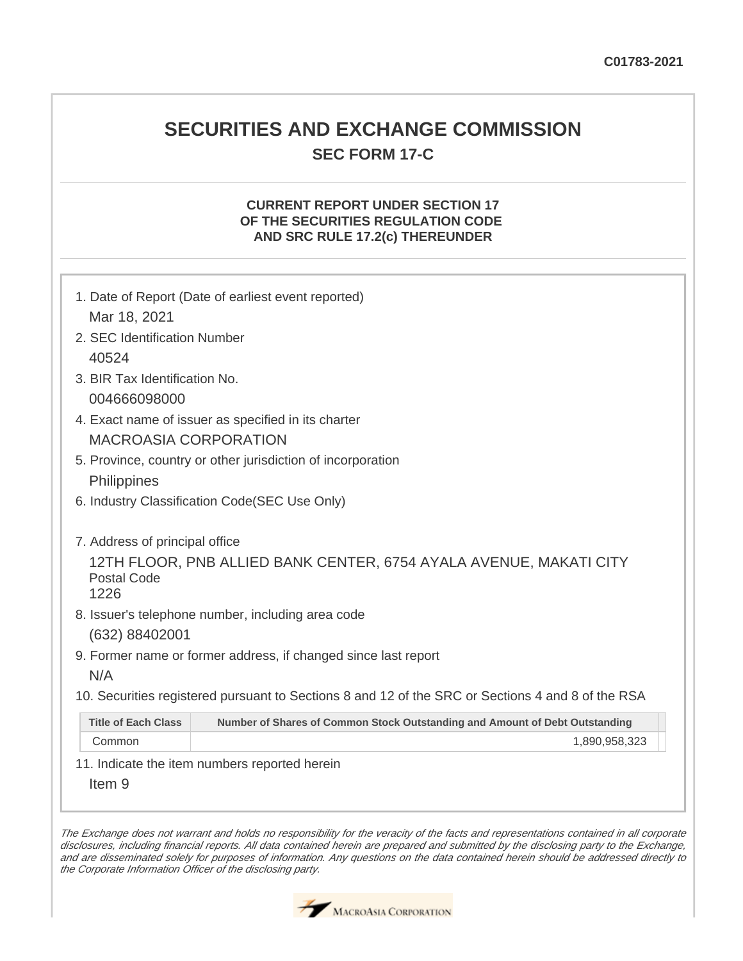## **SECURITIES AND EXCHANGE COMMISSION SEC FORM 17-C**

## **CURRENT REPORT UNDER SECTION 17 OF THE SECURITIES REGULATION CODE AND SRC RULE 17.2(c) THEREUNDER**

| 1. Date of Report (Date of earliest event reported)<br>Mar 18, 2021                                       |  |  |
|-----------------------------------------------------------------------------------------------------------|--|--|
| 2. SEC Identification Number                                                                              |  |  |
| 40524                                                                                                     |  |  |
| 3. BIR Tax Identification No.                                                                             |  |  |
| 004666098000                                                                                              |  |  |
| 4. Exact name of issuer as specified in its charter                                                       |  |  |
| <b>MACROASIA CORPORATION</b>                                                                              |  |  |
| 5. Province, country or other jurisdiction of incorporation                                               |  |  |
| Philippines                                                                                               |  |  |
| 6. Industry Classification Code(SEC Use Only)                                                             |  |  |
|                                                                                                           |  |  |
| 7. Address of principal office                                                                            |  |  |
| 12TH FLOOR, PNB ALLIED BANK CENTER, 6754 AYALA AVENUE, MAKATI CITY                                        |  |  |
| Postal Code<br>1226                                                                                       |  |  |
| 8. Issuer's telephone number, including area code                                                         |  |  |
| (632) 88402001                                                                                            |  |  |
| 9. Former name or former address, if changed since last report                                            |  |  |
| N/A                                                                                                       |  |  |
| 10. Securities registered pursuant to Sections 8 and 12 of the SRC or Sections 4 and 8 of the RSA         |  |  |
| <b>Title of Each Class</b><br>Number of Shares of Common Stock Outstanding and Amount of Debt Outstanding |  |  |
| Common<br>1,890,958,323                                                                                   |  |  |
| 11. Indicate the item numbers reported herein                                                             |  |  |

Item 9

The Exchange does not warrant and holds no responsibility for the veracity of the facts and representations contained in all corporate disclosures, including financial reports. All data contained herein are prepared and submitted by the disclosing party to the Exchange, and are disseminated solely for purposes of information. Any questions on the data contained herein should be addressed directly to the Corporate Information Officer of the disclosing party.